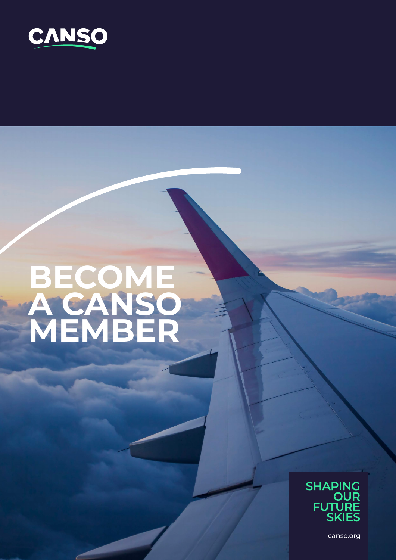

# **BECOME A CANSO MEMBER**



[canso.org](http://canso.org)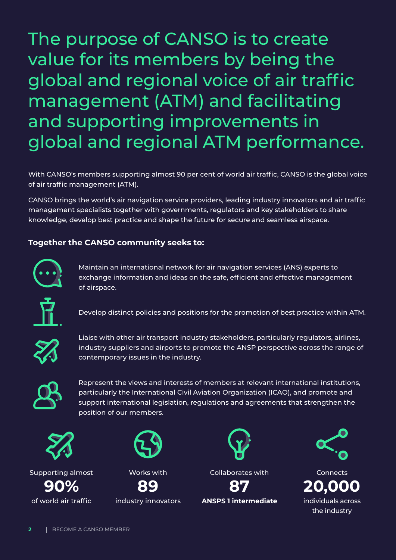### The purpose of CANSO is to create value for its members by being the global and regional voice of air traffic management (ATM) and facilitating and supporting improvements in global and regional ATM performance.

With CANSO's members supporting almost 90 per cent of world air traffic, CANSO is the global voice of air traffic management (ATM).

CANSO brings the world's air navigation service providers, leading industry innovators and air traffic management specialists together with governments, regulators and key stakeholders to share knowledge, develop best practice and shape the future for secure and seamless airspace.

#### **Together the CANSO community seeks to:**



Maintain an international network for air navigation services (ANS) experts to exchange information and ideas on the safe, efficient and effective management of airspace.



Develop distinct policies and positions for the promotion of best practice within ATM.



Liaise with other air transport industry stakeholders, particularly regulators, airlines, industry suppliers and airports to promote the ANSP perspective across the range of contemporary issues in the industry.



Represent the views and interests of members at relevant international institutions, particularly the International Civil Aviation Organization (ICAO), and promote and support international legislation, regulations and agreements that strengthen the position of our members.



Supporting almost

of world air traffic



Works with

industry innovators

Collaborates with





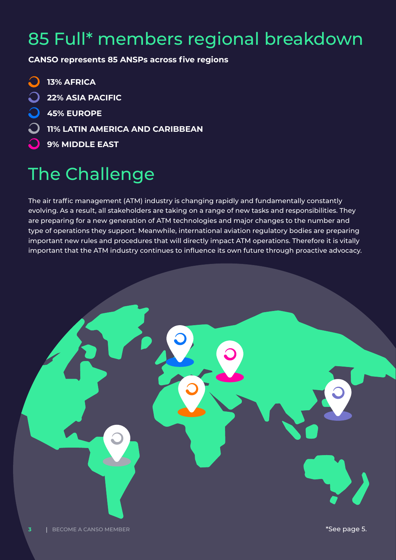# 85 Full\* members regional breakdown

**CANSO represents 85 ANSPs across five regions**

- **13% AFRICA**
- **22% ASIA PACIFIC**
- **45% EUROPE**
- **11% LATIN AMERICA AND CARIBBEAN**
- **9% MIDDLE EAST**

# The Challenge

The air traffic management (ATM) industry is changing rapidly and fundamentally constantly evolving. As a result, all stakeholders are taking on a range of new tasks and responsibilities. They are preparing for a new generation of ATM technologies and major changes to the number and type of operations they support. Meanwhile, international aviation regulatory bodies are preparing important new rules and procedures that will directly impact ATM operations. Therefore it is vitally important that the ATM industry continues to influence its own future through proactive advocacy.

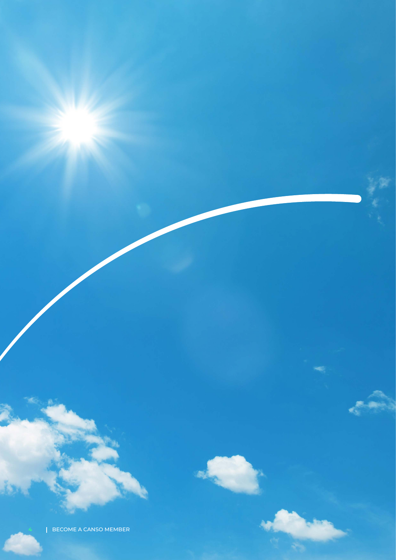BECOME A CANSO MEMBER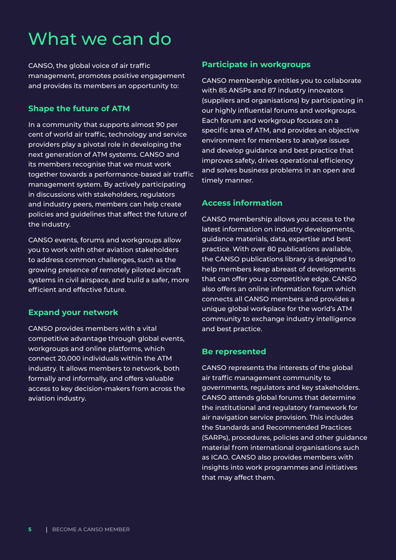# What we can do

CANSO, the global voice of air traffic management, promotes positive engagement and provides its members an opportunity to:

#### **Shape the future of ATM**

In a community that supports almost 90 per cent of world air traffic, technology and service providers play a pivotal role in developing the next generation of ATM systems. CANSO and its members recognise that we must work together towards a performance-based air traffic management system. By actively participating in discussions with stakeholders, regulators and industry peers, members can help create policies and guidelines that affect the future of the industry.

CANSO events, forums and workgroups allow you to work with other aviation stakeholders to address common challenges, such as the growing presence of remotely piloted aircraft systems in civil airspace, and build a safer, more efficient and effective future.

#### **Expand your network**

CANSO provides members with a vital competitive advantage through global events, workgroups and online platforms, which connect 20,000 individuals within the ATM industry. It allows members to network, both formally and informally, and offers valuable access to key decision-makers from across the aviation industry.

#### **Participate in workgroups**

CANSO membership entitles you to collaborate with 85 ANSPs and 87 industry innovators (suppliers and organisations) by participating in our highly influential forums and workgroups. Each forum and workgroup focuses on a specific area of ATM, and provides an objective environment for members to analyse issues and develop guidance and best practice that improves safety, drives operational efficiency and solves business problems in an open and timely manner.

#### **Access information**

CANSO membership allows you access to the latest information on industry developments, guidance materials, data, expertise and best practice. With over 80 publications available, the CANSO publications library is designed to help members keep abreast of developments that can offer you a competitive edge. CANSO also offers an online information forum which connects all CANSO members and provides a unique global workplace for the world's ATM community to exchange industry intelligence and best practice.

#### **Be represented**

CANSO represents the interests of the global air traffic management community to governments, regulators and key stakeholders. CANSO attends global forums that determine the institutional and regulatory framework for air navigation service provision. This includes the Standards and Recommended Practices (SARPs), procedures, policies and other guidance material from international organisations such as ICAO. CANSO also provides members with insights into work programmes and initiatives that may affect them.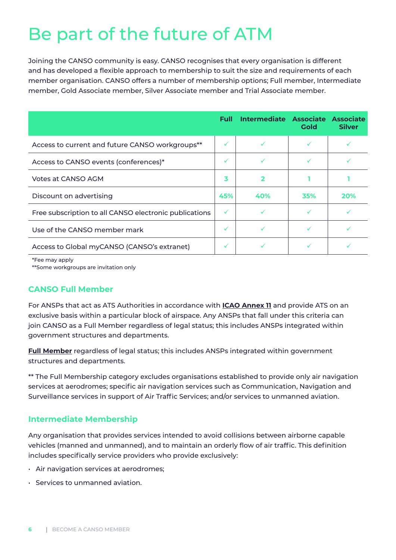# Be part of the future of ATM

Joining the CANSO community is easy. CANSO recognises that every organisation is different and has developed a flexible approach to membership to suit the size and requirements of each member organisation. CANSO offers a number of membership options; Full member, Intermediate member, Gold Associate member, Silver Associate member and Trial Associate member.

| <b>Full</b>  |     | <b>Gold</b> | <b>Silver</b>                    |
|--------------|-----|-------------|----------------------------------|
| $\checkmark$ |     |             |                                  |
| ✓            |     |             |                                  |
| 3            | 2   |             |                                  |
| 45%          | 40% | 35%         | 20%                              |
| ✓            |     |             |                                  |
| $\checkmark$ |     |             |                                  |
|              |     |             |                                  |
|              |     |             | Intermediate Associate Associate |

\*Fee may apply

\*\*Some workgroups are invitation only

#### **CANSO Full Member**

For ANSPs that act as ATS Authorities in accordance with **[ICAO Annex 11](mailto:https://www.theairlinepilots.com/forumarchive/quickref/icao/annex11.pdf?subject=)** and provide ATS on an exclusive basis within a particular block of airspace. Any ANSPs that fall under this criteria can join CANSO as a Full Member regardless of legal status; this includes ANSPs integrated within government structures and departments.

**[Full Member](mailto:https://www.canso.org/join-canso?subject=)** regardless of legal status; this includes ANSPs integrated within government structures and departments.

\*\* The Full Membership category excludes organisations established to provide only air navigation services at aerodromes; specific air navigation services such as Communication, Navigation and Surveillance services in support of Air Traffic Services; and/or services to unmanned aviation.

#### **Intermediate Membership**

Any organisation that provides services intended to avoid collisions between airborne capable vehicles (manned and unmanned), and to maintain an orderly flow of air traffic. This definition includes specifically service providers who provide exclusively:

- Air navigation services at aerodromes;
- Services to unmanned aviation.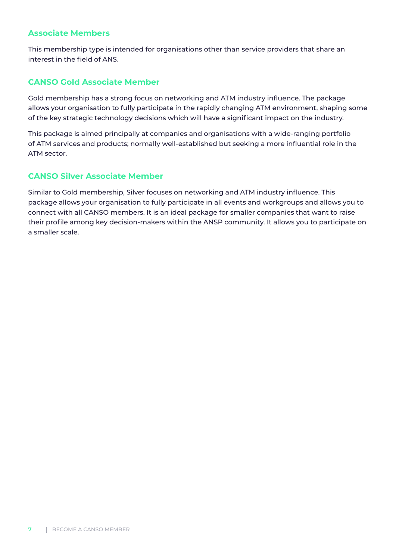#### **Associate Members**

This membership type is intended for organisations other than service providers that share an interest in the field of ANS.

#### **CANSO Gold Associate Member**

Gold membership has a strong focus on networking and ATM industry influence. The package allows your organisation to fully participate in the rapidly changing ATM environment, shaping some of the key strategic technology decisions which will have a significant impact on the industry.

This package is aimed principally at companies and organisations with a wide-ranging portfolio of ATM services and products; normally well-established but seeking a more influential role in the ATM sector.

#### **CANSO Silver Associate Member**

Similar to Gold membership, Silver focuses on networking and ATM industry influence. This package allows your organisation to fully participate in all events and workgroups and allows you to connect with all CANSO members. It is an ideal package for smaller companies that want to raise their profile among key decision-makers within the ANSP community. It allows you to participate on a smaller scale.